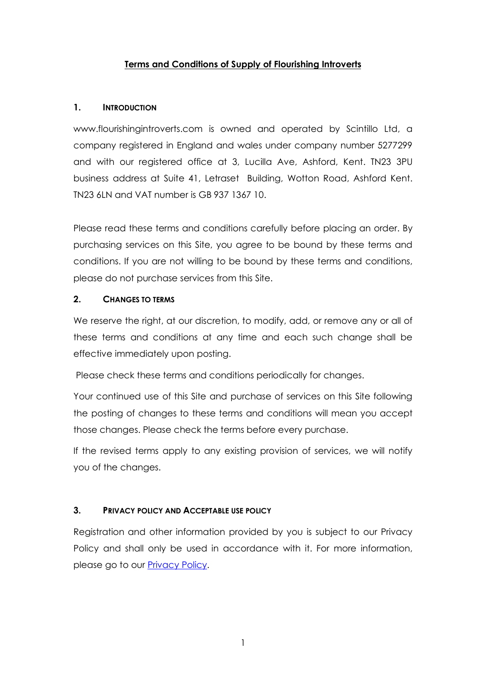# **Terms and Conditions of Supply of Flourishing Introverts**

### **1. INTRODUCTION**

www.flourishingintroverts.com is owned and operated by Scintillo Ltd, a company registered in England and wales under company number 5277299 and with our registered office at 3, Lucilla Ave, Ashford, Kent. TN23 3PU business address at Suite 41, Letraset Building, Wotton Road, Ashford Kent. TN23 6LN and VAT number is GB 937 1367 10.

Please read these terms and conditions carefully before placing an order. By purchasing services on this Site, you agree to be bound by these terms and conditions. If you are not willing to be bound by these terms and conditions, please do not purchase services from this Site.

## **2. CHANGES TO TERMS**

We reserve the right, at our discretion, to modify, add, or remove any or all of these terms and conditions at any time and each such change shall be effective immediately upon posting.

Please check these terms and conditions periodically for changes.

Your continued use of this Site and purchase of services on this Site following the posting of changes to these terms and conditions will mean you accept those changes. Please check the terms before every purchase.

If the revised terms apply to any existing provision of services, we will notify you of the changes.

## **3. PRIVACY POLICY AND ACCEPTABLE USE POLICY**

Registration and other information provided by you is subject to our Privacy Policy and shall only be used in accordance with it. For more information, please go to our [Privacy Policy.](https://quiet.flourishingintroverts.com/Privacypolicy)

1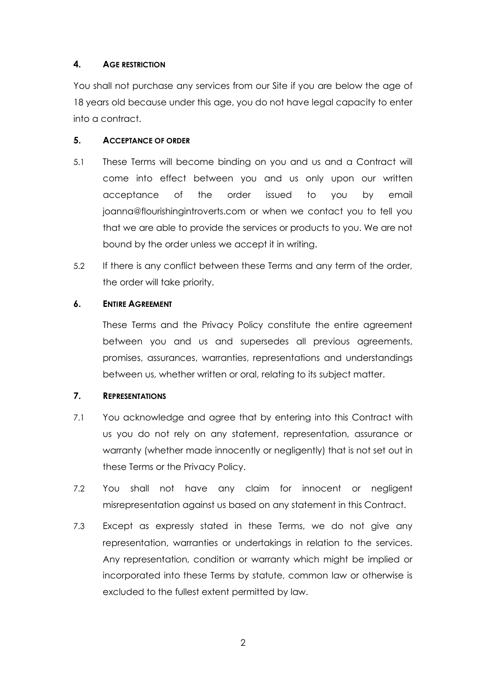# **4. AGE RESTRICTION**

You shall not purchase any services from our Site if you are below the age of 18 years old because under this age, you do not have legal capacity to enter into a contract.

# **5. ACCEPTANCE OF ORDER**

- 5.1 These Terms will become binding on you and us and a Contract will come into effect between you and us only upon our written acceptance of the order issued to you by email joanna@flourishingintroverts.com or when we contact you to tell you that we are able to provide the services or products to you. We are not bound by the order unless we accept it in writing.
- 5.2 If there is any conflict between these Terms and any term of the order, the order will take priority.

## **6. ENTIRE AGREEMENT**

These Terms and the Privacy Policy constitute the entire agreement between you and us and supersedes all previous agreements, promises, assurances, warranties, representations and understandings between us, whether written or oral, relating to its subject matter.

# **7. REPRESENTATIONS**

- 7.1 You acknowledge and agree that by entering into this Contract with us you do not rely on any statement, representation, assurance or warranty (whether made innocently or negligently) that is not set out in these Terms or the Privacy Policy.
- 7.2 You shall not have any claim for innocent or negligent misrepresentation against us based on any statement in this Contract.
- 7.3 Except as expressly stated in these Terms, we do not give any representation, warranties or undertakings in relation to the services. Any representation, condition or warranty which might be implied or incorporated into these Terms by statute, common law or otherwise is excluded to the fullest extent permitted by law.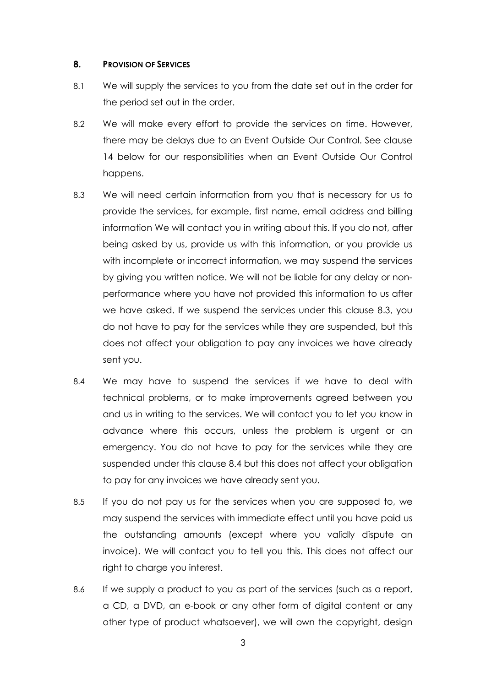#### **8. PROVISION OF SERVICES**

- 8.1 We will supply the services to you from the date set out in the order for the period set out in the order.
- 8.2 We will make every effort to provide the services on time. However, there may be delays due to an Event Outside Our Control. See clause 14 below for our responsibilities when an Event Outside Our Control happens.
- 8.3 We will need certain information from you that is necessary for us to provide the services, for example, first name, email address and billing information We will contact you in writing about this. If you do not, after being asked by us, provide us with this information, or you provide us with incomplete or incorrect information, we may suspend the services by giving you written notice. We will not be liable for any delay or nonperformance where you have not provided this information to us after we have asked. If we suspend the services under this clause 8.3, you do not have to pay for the services while they are suspended, but this does not affect your obligation to pay any invoices we have already sent you.
- 8.4 We may have to suspend the services if we have to deal with technical problems, or to make improvements agreed between you and us in writing to the services. We will contact you to let you know in advance where this occurs, unless the problem is urgent or an emergency. You do not have to pay for the services while they are suspended under this clause 8.4 but this does not affect your obligation to pay for any invoices we have already sent you.
- 8.5 If you do not pay us for the services when you are supposed to, we may suspend the services with immediate effect until you have paid us the outstanding amounts (except where you validly dispute an invoice). We will contact you to tell you this. This does not affect our right to charge you interest.
- 8.6 If we supply a product to you as part of the services (such as a report, a CD, a DVD, an e-book or any other form of digital content or any other type of product whatsoever), we will own the copyright, design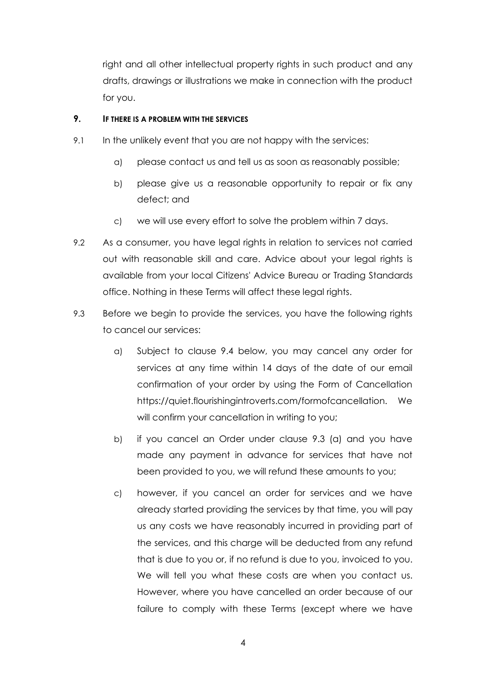right and all other intellectual property rights in such product and any drafts, drawings or illustrations we make in connection with the product for you.

### **9. IF THERE IS A PROBLEM WITH THE SERVICES**

- 9.1 In the unlikely event that you are not happy with the services:
	- a) please contact us and tell us as soon as reasonably possible;
	- b) please give us a reasonable opportunity to repair or fix any defect; and
	- c) we will use every effort to solve the problem within 7 days.
- 9.2 As a consumer, you have legal rights in relation to services not carried out with reasonable skill and care. Advice about your legal rights is available from your local Citizens' Advice Bureau or Trading Standards office. Nothing in these Terms will affect these legal rights.
- 9.3 Before we begin to provide the services, you have the following rights to cancel our services:
	- a) Subject to clause 9.4 below, you may cancel any order for services at any time within 14 days of the date of our email confirmation of your order by using the Form of Cancellation https://quiet.flourishingintroverts.com/formofcancellation. We will confirm your cancellation in writing to you;
	- b) if you cancel an Order under clause 9.3 (a) and you have made any payment in advance for services that have not been provided to you, we will refund these amounts to you;
	- c) however, if you cancel an order for services and we have already started providing the services by that time, you will pay us any costs we have reasonably incurred in providing part of the services, and this charge will be deducted from any refund that is due to you or, if no refund is due to you, invoiced to you. We will tell you what these costs are when you contact us. However, where you have cancelled an order because of our failure to comply with these Terms (except where we have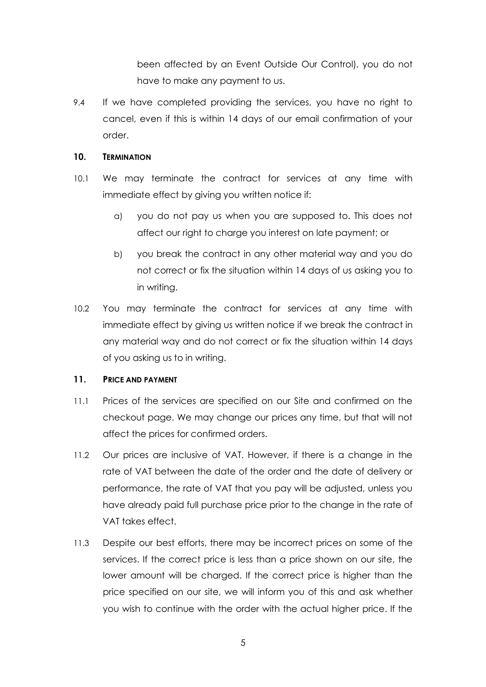been affected by an Event Outside Our Control), you do not have to make any payment to us.

9.4 If we have completed providing the services, you have no right to cancel, even if this is within 14 days of our email confirmation of your order.

### **10. TERMINATION**

- 10.1 We may terminate the contract for services at any time with immediate effect by giving you written notice if:
	- a) you do not pay us when you are supposed to. This does not affect our right to charge you interest on late payment; or
	- b) you break the contract in any other material way and you do not correct or fix the situation within 14 days of us asking you to in writing.
- 10.2 You may terminate the contract for services at any time with immediate effect by giving us written notice if we break the contract in any material way and do not correct or fix the situation within 14 days of you asking us to in writing.

### **11. PRICE AND PAYMENT**

- 11.1 Prices of the services are specified on our Site and confirmed on the checkout page. We may change our prices any time, but that will not affect the prices for confirmed orders.
- 11.2 Our prices are inclusive of VAT. However, if there is a change in the rate of VAT between the date of the order and the date of delivery or performance, the rate of VAT that you pay will be adjusted, unless you have already paid full purchase price prior to the change in the rate of VAT takes effect.
- 11.3 Despite our best efforts, there may be incorrect prices on some of the services. If the correct price is less than a price shown on our site, the lower amount will be charged. If the correct price is higher than the price specified on our site, we will inform you of this and ask whether you wish to continue with the order with the actual higher price. If the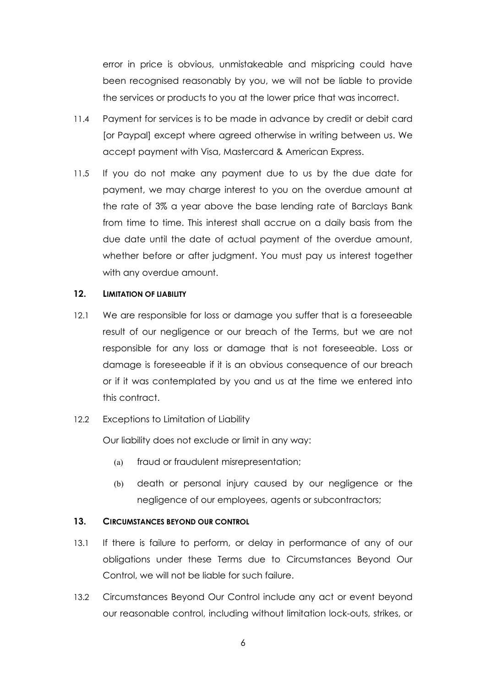error in price is obvious, unmistakeable and mispricing could have been recognised reasonably by you, we will not be liable to provide the services or products to you at the lower price that was incorrect.

- 11.4 Payment for services is to be made in advance by credit or debit card [or Paypal] except where agreed otherwise in writing between us. We accept payment with Visa, Mastercard & American Express.
- 11.5 If you do not make any payment due to us by the due date for payment, we may charge interest to you on the overdue amount at the rate of 3% a year above the base lending rate of Barclays Bank from time to time. This interest shall accrue on a daily basis from the due date until the date of actual payment of the overdue amount, whether before or after judgment. You must pay us interest together with any overdue amount.

#### **12. LIMITATION OF LIABILITY**

12.1 We are responsible for loss or damage you suffer that is a foreseeable result of our negligence or our breach of the Terms, but we are not responsible for any loss or damage that is not foreseeable. Loss or damage is foreseeable if it is an obvious consequence of our breach or if it was contemplated by you and us at the time we entered into this contract.

### 12.2 Exceptions to Limitation of Liability

Our liability does not exclude or limit in any way:

- (a) fraud or fraudulent misrepresentation;
- (b) death or personal injury caused by our negligence or the negligence of our employees, agents or subcontractors;

### **13. CIRCUMSTANCES BEYOND OUR CONTROL**

- 13.1 If there is failure to perform, or delay in performance of any of our obligations under these Terms due to Circumstances Beyond Our Control, we will not be liable for such failure.
- 13.2 Circumstances Beyond Our Control include any act or event beyond our reasonable control, including without limitation lock-outs, strikes, or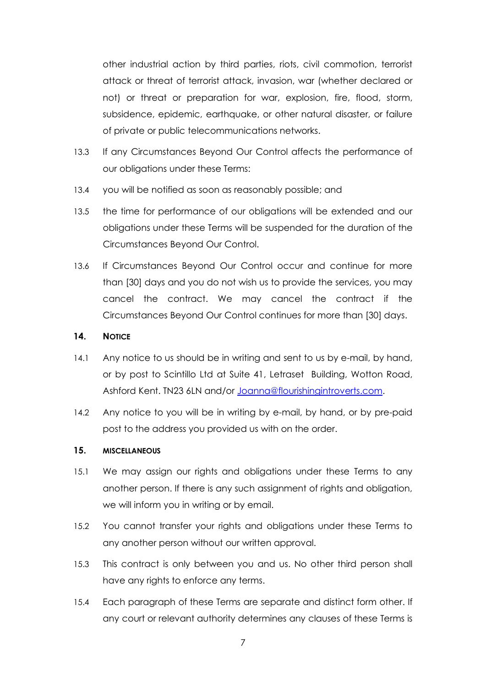other industrial action by third parties, riots, civil commotion, terrorist attack or threat of terrorist attack, invasion, war (whether declared or not) or threat or preparation for war, explosion, fire, flood, storm, subsidence, epidemic, earthquake, or other natural disaster, or failure of private or public telecommunications networks.

- 13.3 If any Circumstances Beyond Our Control affects the performance of our obligations under these Terms:
- 13.4 you will be notified as soon as reasonably possible; and
- 13.5 the time for performance of our obligations will be extended and our obligations under these Terms will be suspended for the duration of the Circumstances Beyond Our Control.
- 13.6 If Circumstances Beyond Our Control occur and continue for more than [30] days and you do not wish us to provide the services, you may cancel the contract. We may cancel the contract if the Circumstances Beyond Our Control continues for more than [30] days.

### **14. NOTICE**

- 14.1 Any notice to us should be in writing and sent to us by e-mail, by hand, or by post to Scintillo Ltd at Suite 41, Letraset Building, Wotton Road, Ashford Kent. TN23 6LN and/or [Joanna@flourishingintroverts.com.](mailto:Joanna@flourishingintroverts.com)
- 14.2 Any notice to you will be in writing by e-mail, by hand, or by pre-paid post to the address you provided us with on the order.

#### **15. MISCELLANEOUS**

- 15.1 We may assign our rights and obligations under these Terms to any another person. If there is any such assignment of rights and obligation, we will inform you in writing or by email.
- 15.2 You cannot transfer your rights and obligations under these Terms to any another person without our written approval.
- 15.3 This contract is only between you and us. No other third person shall have any rights to enforce any terms.
- 15.4 Each paragraph of these Terms are separate and distinct form other. If any court or relevant authority determines any clauses of these Terms is